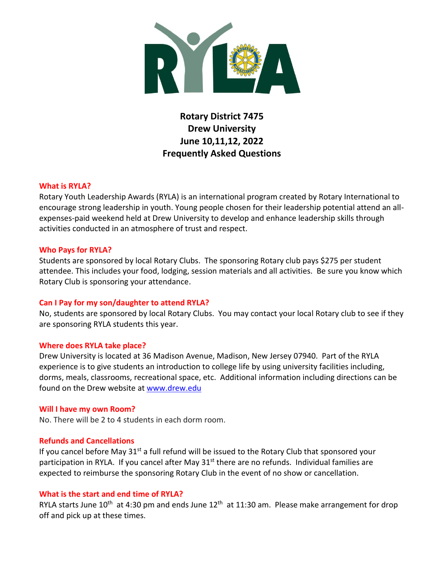

# **Rotary District 7475 Drew University June 10,11,12, 2022 Frequently Asked Questions**

## **What is RYLA?**

Rotary Youth Leadership Awards (RYLA) is an international program created by Rotary International to encourage strong leadership in youth. Young people chosen for their leadership potential attend an allexpenses-paid weekend held at Drew University to develop and enhance leadership skills through activities conducted in an atmosphere of trust and respect.

## **Who Pays for RYLA?**

Students are sponsored by local Rotary Clubs. The sponsoring Rotary club pays \$275 per student attendee. This includes your food, lodging, session materials and all activities. Be sure you know which Rotary Club is sponsoring your attendance.

# **Can I Pay for my son/daughter to attend RYLA?**

No, students are sponsored by local Rotary Clubs. You may contact your local Rotary club to see if they are sponsoring RYLA students this year.

#### **Where does RYLA take place?**

Drew University is located at 36 Madison Avenue, Madison, New Jersey 07940. Part of the RYLA experience is to give students an introduction to college life by using university facilities including, dorms, meals, classrooms, recreational space, etc. Additional information including directions can be found on the Drew website at [www.drew.edu](http://www.drew.edu/)

#### **Will I have my own Room?**

No. There will be 2 to 4 students in each dorm room.

# **Refunds and Cancellations**

If you cancel before May  $31^{st}$  a full refund will be issued to the Rotary Club that sponsored your participation in RYLA. If you cancel after May 31<sup>st</sup> there are no refunds. Individual families are expected to reimburse the sponsoring Rotary Club in the event of no show or cancellation.

# **What is the start and end time of RYLA?**

RYLA starts June 10<sup>th</sup> at 4:30 pm and ends June 12<sup>th</sup> at 11:30 am. Please make arrangement for drop off and pick up at these times.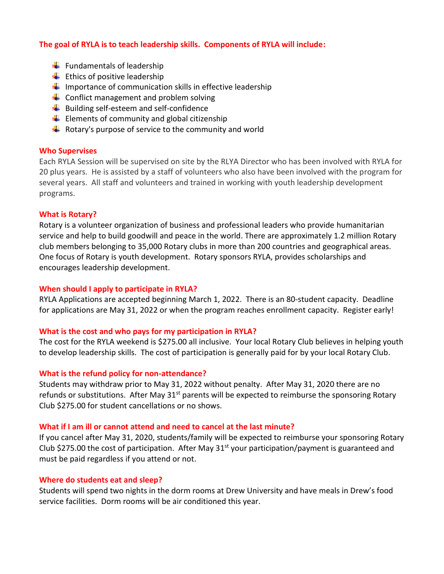# **The goal of RYLA is to teach leadership skills. Components of RYLA will include:**

- $\leftarrow$  Fundamentals of leadership
- $\leftarrow$  Ethics of positive leadership
- $\downarrow$  Importance of communication skills in effective leadership
- $\leftarrow$  Conflict management and problem solving
- $\bigstar$  Building self-esteem and self-confidence
- $\bigstar$  Elements of community and global citizenship
- $\downarrow$  Rotary's purpose of service to the community and world

# **Who Supervises**

Each RYLA Session will be supervised on site by the RLYA Director who has been involved with RYLA for 20 plus years. He is assisted by a staff of volunteers who also have been involved with the program for several years. All staff and volunteers and trained in working with youth leadership development programs.

# **What is Rotary?**

Rotary is a volunteer organization of business and professional leaders who provide humanitarian service and help to build goodwill and peace in the world. There are approximately 1.2 million Rotary club members belonging to 35,000 Rotary clubs in more than 200 countries and geographical areas. One focus of Rotary is youth development. Rotary sponsors RYLA, provides scholarships and encourages leadership development.

# **When should I apply to participate in RYLA?**

RYLA Applications are accepted beginning March 1, 2022. There is an 80-student capacity. Deadline for applications are May 31, 2022 or when the program reaches enrollment capacity. Register early!

# **What is the cost and who pays for my participation in RYLA?**

The cost for the RYLA weekend is \$275.00 all inclusive. Your local Rotary Club believes in helping youth to develop leadership skills. The cost of participation is generally paid for by your local Rotary Club.

# **What is the refund policy for non-attendance?**

Students may withdraw prior to May 31, 2022 without penalty. After May 31, 2020 there are no refunds or substitutions. After May 31<sup>st</sup> parents will be expected to reimburse the sponsoring Rotary Club \$275.00 for student cancellations or no shows.

# **What if I am ill or cannot attend and need to cancel at the last minute?**

If you cancel after May 31, 2020, students/family will be expected to reimburse your sponsoring Rotary Club \$275.00 the cost of participation. After May 31<sup>st</sup> your participation/payment is guaranteed and must be paid regardless if you attend or not.

## **Where do students eat and sleep?**

Students will spend two nights in the dorm rooms at Drew University and have meals in Drew's food service facilities. Dorm rooms will be air conditioned this year.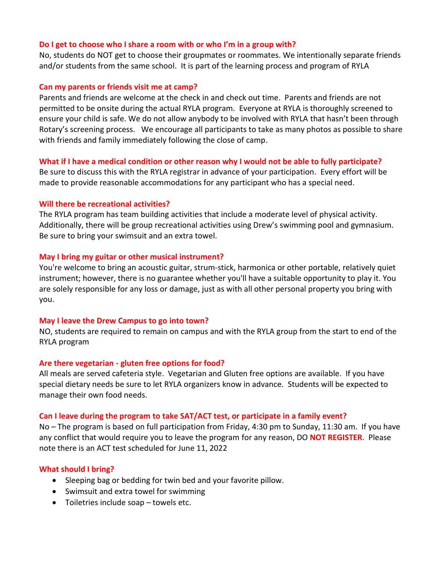#### **Do I get to choose who I share a room with or who I'm in a group with?**

No, students do NOT get to choose their groupmates or roommates. We intentionally separate friends and/or students from the same school. It is part of the learning process and program of RYLA

## **Can my parents or friends visit me at camp?**

Parents and friends are welcome at the check in and check out time. Parents and friends are not permitted to be onsite during the actual RYLA program. Everyone at RYLA is thoroughly screened to ensure your child is safe. We do not allow anybody to be involved with RYLA that hasn't been through Rotary's screening process. We encourage all participants to take as many photos as possible to share with friends and family immediately following the close of camp.

# **What if I have a medical condition or other reason why I would not be able to fully participate?**

Be sure to discuss this with the RYLA registrar in advance of your participation. Every effort will be made to provide reasonable accommodations for any participant who has a special need.

# **Will there be recreational activities?**

The RYLA program has team building activities that include a moderate level of physical activity. Additionally, there will be group recreational activities using Drew's swimming pool and gymnasium. Be sure to bring your swimsuit and an extra towel.

## **May I bring my guitar or other musical instrument?**

You're welcome to bring an acoustic guitar, strum-stick, harmonica or other portable, relatively quiet instrument; however, there is no guarantee whether you'll have a suitable opportunity to play it. You are solely responsible for any loss or damage, just as with all other personal property you bring with you.

# **May I leave the Drew Campus to go into town?**

NO, students are required to remain on campus and with the RYLA group from the start to end of the RYLA program

# **Are there vegetarian - gluten free options for food?**

All meals are served cafeteria style. Vegetarian and Gluten free options are available. If you have special dietary needs be sure to let RYLA organizers know in advance. Students will be expected to manage their own food needs.

#### **Can I leave during the program to take SAT/ACT test, or participate in a family event?**

No – The program is based on full participation from Friday, 4:30 pm to Sunday, 11:30 am. If you have any conflict that would require you to leave the program for any reason, DO **NOT REGISTER**. Please note there is an ACT test scheduled for June 11, 2022

# **What should I bring?**

- Sleeping bag or bedding for twin bed and your favorite pillow.
- Swimsuit and extra towel for swimming
- Toiletries include soap towels etc.